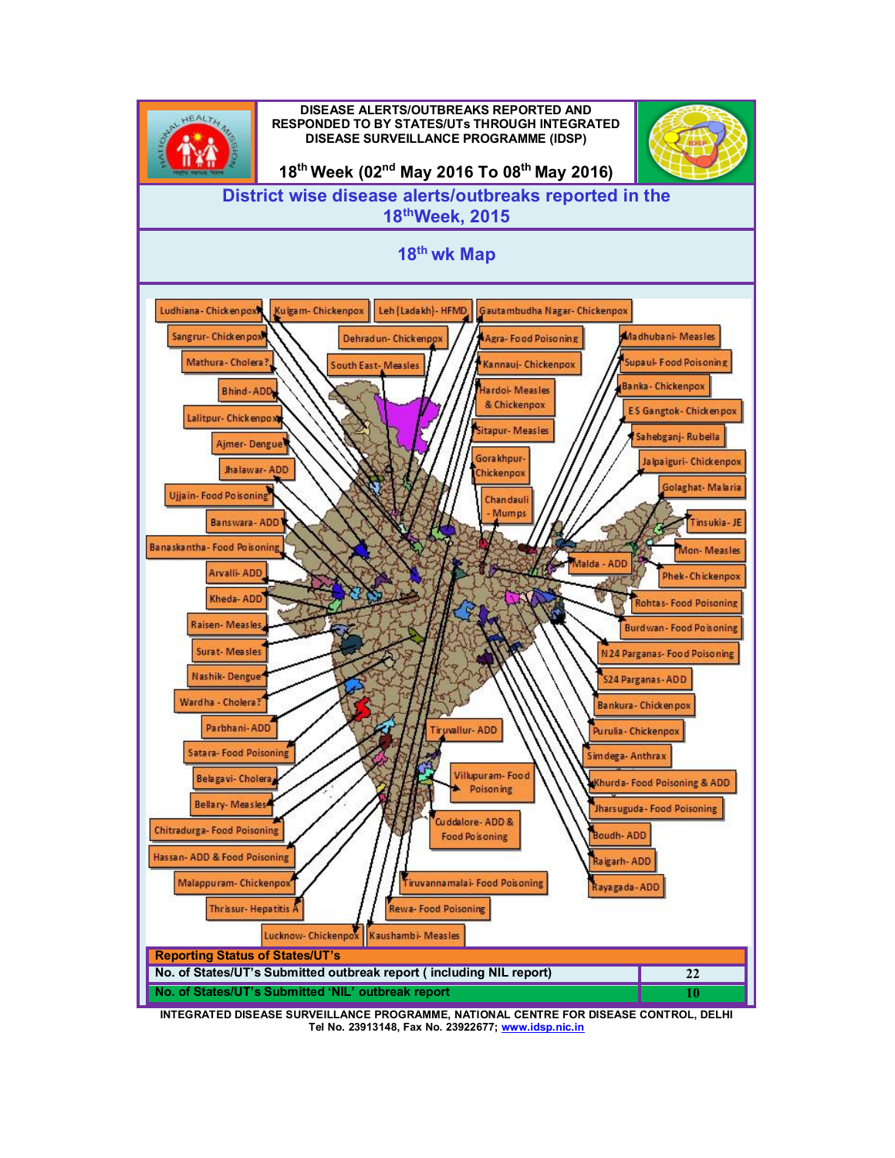

**INTEGRATED DISEASE SURVEILLANCE PROGRAMME, NATIONAL CENTRE FOR DISEASE CONTROL, DELHI Tel No. 23913148, Fax No. 23922677; [www.idsp.nic.in](http://www.idsp.nic.in)**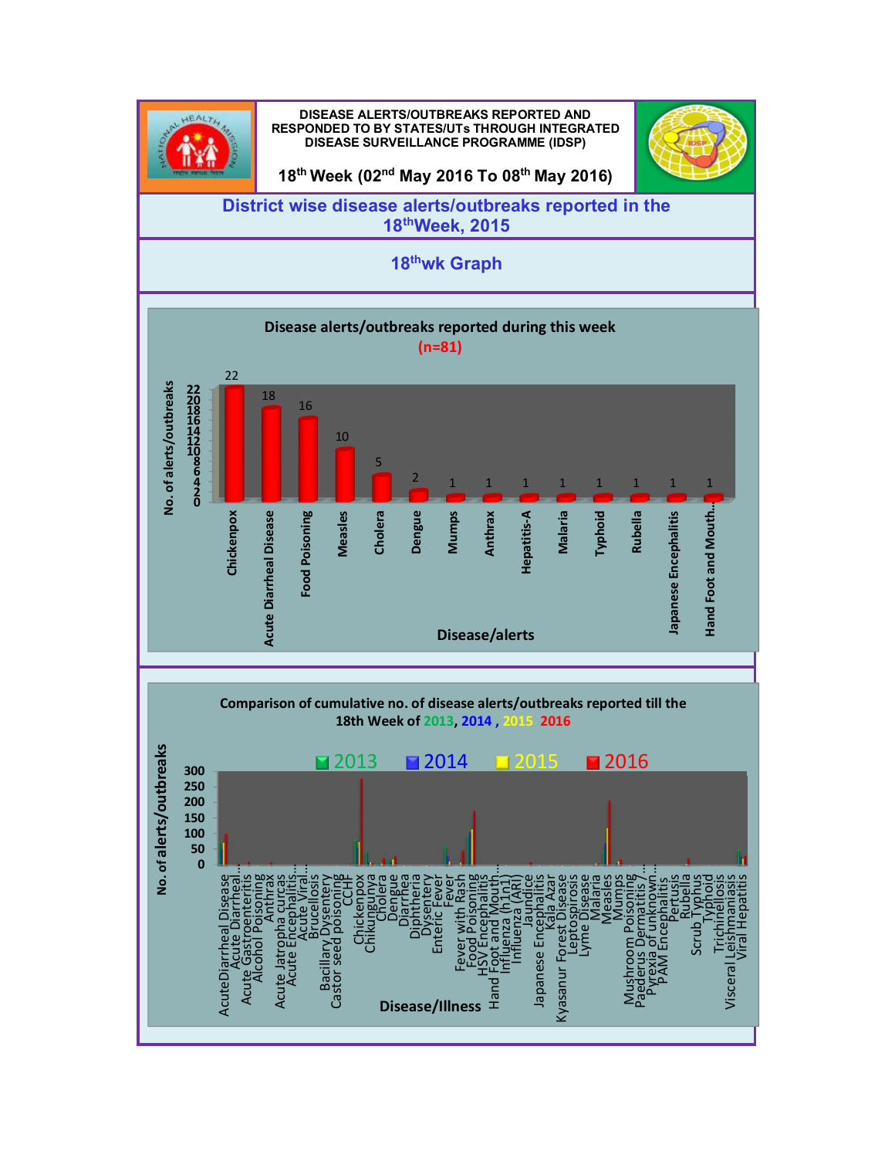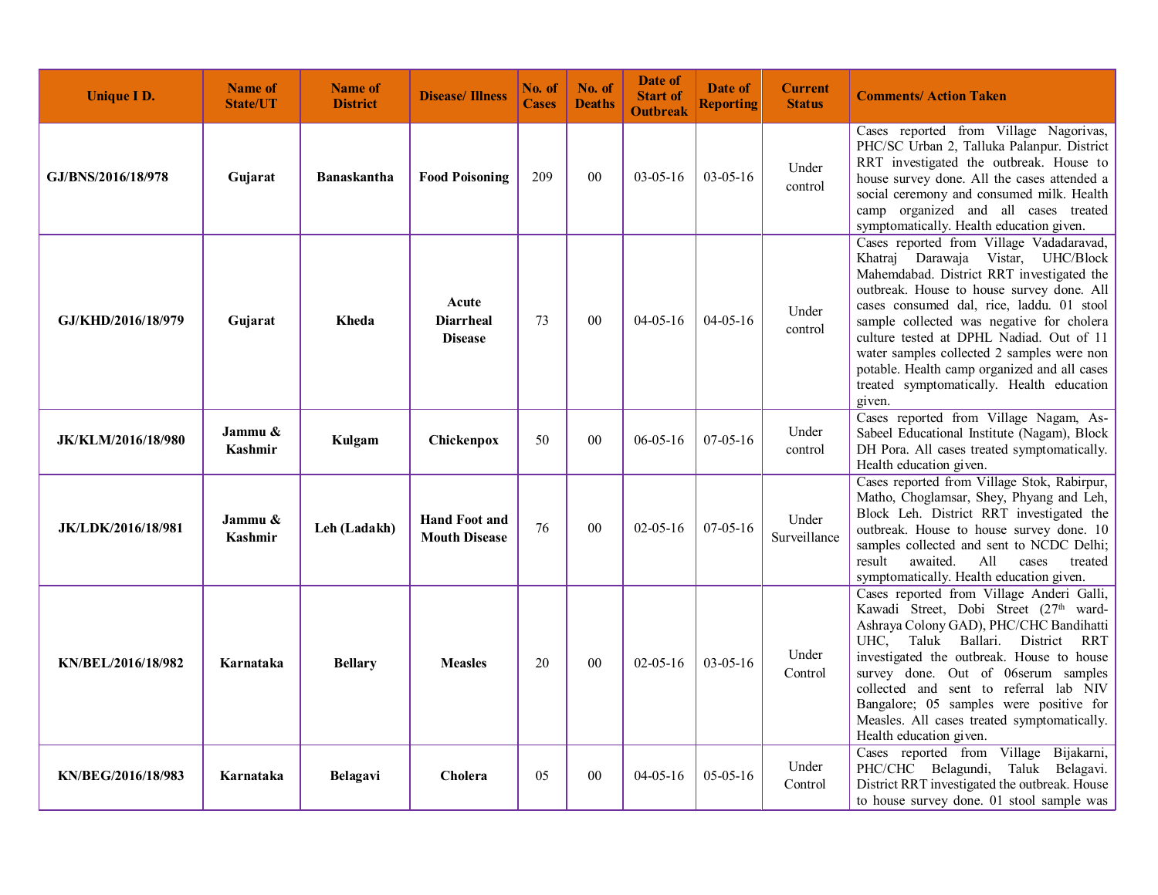| <b>Unique I D.</b>        | <b>Name of</b><br><b>State/UT</b> | <b>Name of</b><br><b>District</b> | <b>Disease/Illness</b>                       | No. of<br><b>Cases</b> | No. of<br><b>Deaths</b> | Date of<br><b>Start of</b><br><b>Outbreak</b> | Date of<br><b>Reporting</b> | <b>Current</b><br><b>Status</b> | <b>Comments/ Action Taken</b>                                                                                                                                                                                                                                                                                                                                                                                                                                       |
|---------------------------|-----------------------------------|-----------------------------------|----------------------------------------------|------------------------|-------------------------|-----------------------------------------------|-----------------------------|---------------------------------|---------------------------------------------------------------------------------------------------------------------------------------------------------------------------------------------------------------------------------------------------------------------------------------------------------------------------------------------------------------------------------------------------------------------------------------------------------------------|
| GJ/BNS/2016/18/978        | Gujarat                           | <b>Banaskantha</b>                | <b>Food Poisoning</b>                        | 209                    | $00\,$                  | $03 - 05 - 16$                                | $03 - 05 - 16$              | Under<br>control                | Cases reported from Village Nagorivas,<br>PHC/SC Urban 2, Talluka Palanpur. District<br>RRT investigated the outbreak. House to<br>house survey done. All the cases attended a<br>social ceremony and consumed milk. Health<br>camp organized and all cases treated<br>symptomatically. Health education given.                                                                                                                                                     |
| GJ/KHD/2016/18/979        | Gujarat                           | Kheda                             | Acute<br><b>Diarrheal</b><br><b>Disease</b>  | 73                     | 0 <sub>0</sub>          | $04 - 05 - 16$                                | $04 - 05 - 16$              | Under<br>control                | Cases reported from Village Vadadaravad,<br>Khatraj Darawaja Vistar, UHC/Block<br>Mahemdabad. District RRT investigated the<br>outbreak. House to house survey done. All<br>cases consumed dal, rice, laddu. 01 stool<br>sample collected was negative for cholera<br>culture tested at DPHL Nadiad. Out of 11<br>water samples collected 2 samples were non<br>potable. Health camp organized and all cases<br>treated symptomatically. Health education<br>given. |
| <b>JK/KLM/2016/18/980</b> | Jammu &<br>Kashmir                | Kulgam                            | Chickenpox                                   | 50                     | 00                      | $06 - 05 - 16$                                | $07-05-16$                  | Under<br>control                | Cases reported from Village Nagam, As-<br>Sabeel Educational Institute (Nagam), Block<br>DH Pora. All cases treated symptomatically.<br>Health education given.                                                                                                                                                                                                                                                                                                     |
| <b>JK/LDK/2016/18/981</b> | Jammu &<br><b>Kashmir</b>         | Leh (Ladakh)                      | <b>Hand Foot and</b><br><b>Mouth Disease</b> | 76                     | 00                      | $02 - 05 - 16$                                | $07-05-16$                  | Under<br>Surveillance           | Cases reported from Village Stok, Rabirpur,<br>Matho, Choglamsar, Shey, Phyang and Leh,<br>Block Leh. District RRT investigated the<br>outbreak. House to house survey done. 10<br>samples collected and sent to NCDC Delhi;<br>result<br>awaited.<br>All<br>cases<br>treated<br>symptomatically. Health education given.                                                                                                                                           |
| KN/BEL/2016/18/982        | Karnataka                         | <b>Bellary</b>                    | <b>Measles</b>                               | 20                     | 00                      | $02 - 05 - 16$                                | $03-05-16$                  | Under<br>Control                | Cases reported from Village Anderi Galli,<br>Kawadi Street, Dobi Street (27 <sup>th</sup> ward-<br>Ashraya Colony GAD), PHC/CHC Bandihatti<br>UHC.<br>Taluk<br>Ballari. District<br>RRT<br>investigated the outbreak. House to house<br>survey done. Out of 06serum samples<br>collected and sent to referral lab NIV<br>Bangalore; 05 samples were positive for<br>Measles. All cases treated symptomatically.<br>Health education given.                          |
| KN/BEG/2016/18/983        | Karnataka                         | Belagavi                          | <b>Cholera</b>                               | 05                     | 00                      | $04 - 05 - 16$                                | $05-05-16$                  | Under<br>Control                | Cases reported from Village Bijakarni,<br>PHC/CHC Belagundi,<br>Taluk Belagavi.<br>District RRT investigated the outbreak. House<br>to house survey done. 01 stool sample was                                                                                                                                                                                                                                                                                       |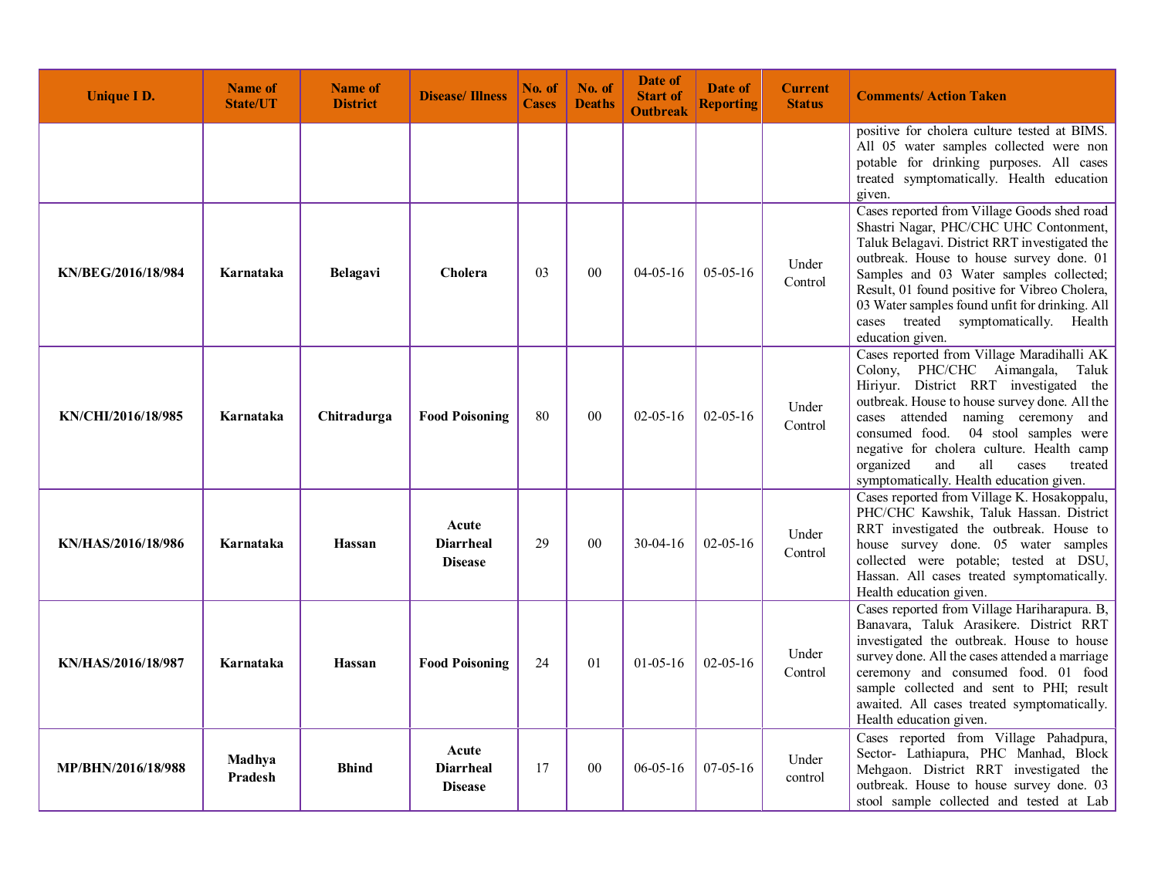| <b>Unique I D.</b> | Name of<br><b>State/UT</b> | <b>Name of</b><br><b>District</b> | <b>Disease/Illness</b>                      | No. of<br><b>Cases</b> | No. of<br><b>Deaths</b> | <b>Date of</b><br><b>Start of</b><br><b>Outbreak</b> | Date of<br><b>Reporting</b> | <b>Current</b><br><b>Status</b> | <b>Comments/Action Taken</b>                                                                                                                                                                                                                                                                                                                                                                    |
|--------------------|----------------------------|-----------------------------------|---------------------------------------------|------------------------|-------------------------|------------------------------------------------------|-----------------------------|---------------------------------|-------------------------------------------------------------------------------------------------------------------------------------------------------------------------------------------------------------------------------------------------------------------------------------------------------------------------------------------------------------------------------------------------|
|                    |                            |                                   |                                             |                        |                         |                                                      |                             |                                 | positive for cholera culture tested at BIMS.<br>All 05 water samples collected were non<br>potable for drinking purposes. All cases<br>treated symptomatically. Health education<br>given.                                                                                                                                                                                                      |
| KN/BEG/2016/18/984 | Karnataka                  | Belagavi                          | Cholera                                     | 0 <sub>3</sub>         | 00                      | $04 - 05 - 16$                                       | $05 - 05 - 16$              | Under<br>Control                | Cases reported from Village Goods shed road<br>Shastri Nagar, PHC/CHC UHC Contonment,<br>Taluk Belagavi. District RRT investigated the<br>outbreak. House to house survey done. 01<br>Samples and 03 Water samples collected;<br>Result, 01 found positive for Vibreo Cholera,<br>03 Water samples found unfit for drinking. All<br>cases treated symptomatically. Health<br>education given.   |
| KN/CHI/2016/18/985 | Karnataka                  | Chitradurga                       | <b>Food Poisoning</b>                       | 80                     | 00                      | $02 - 05 - 16$                                       | $02 - 05 - 16$              | Under<br>Control                | Cases reported from Village Maradihalli AK<br>Colony, PHC/CHC Aimangala, Taluk<br>Hiriyur. District RRT investigated the<br>outbreak. House to house survey done. All the<br>cases attended naming ceremony and<br>consumed food. 04 stool samples were<br>negative for cholera culture. Health camp<br>organized<br>and<br>all<br>cases<br>treated<br>symptomatically. Health education given. |
| KN/HAS/2016/18/986 | Karnataka                  | Hassan                            | Acute<br><b>Diarrheal</b><br><b>Disease</b> | 29                     | 0 <sub>0</sub>          | $30-04-16$                                           | $02 - 05 - 16$              | Under<br>Control                | Cases reported from Village K. Hosakoppalu,<br>PHC/CHC Kawshik, Taluk Hassan. District<br>RRT investigated the outbreak. House to<br>house survey done. 05 water samples<br>collected were potable; tested at DSU,<br>Hassan. All cases treated symptomatically.<br>Health education given.                                                                                                     |
| KN/HAS/2016/18/987 | Karnataka                  | Hassan                            | <b>Food Poisoning</b>                       | 24                     | 01                      | $01-05-16$                                           | $02 - 05 - 16$              | Under<br>Control                | Cases reported from Village Hariharapura. B,<br>Banavara, Taluk Arasikere. District RRT<br>investigated the outbreak. House to house<br>survey done. All the cases attended a marriage<br>ceremony and consumed food. 01 food<br>sample collected and sent to PHI; result<br>awaited. All cases treated symptomatically.<br>Health education given.                                             |
| MP/BHN/2016/18/988 | Madhya<br><b>Pradesh</b>   | <b>Bhind</b>                      | Acute<br><b>Diarrheal</b><br><b>Disease</b> | 17                     | 0 <sub>0</sub>          | $06 - 05 - 16$                                       | $07-05-16$                  | Under<br>control                | Cases reported from Village Pahadpura,<br>Sector- Lathiapura, PHC Manhad, Block<br>Mehgaon. District RRT investigated the<br>outbreak. House to house survey done. 03<br>stool sample collected and tested at Lab                                                                                                                                                                               |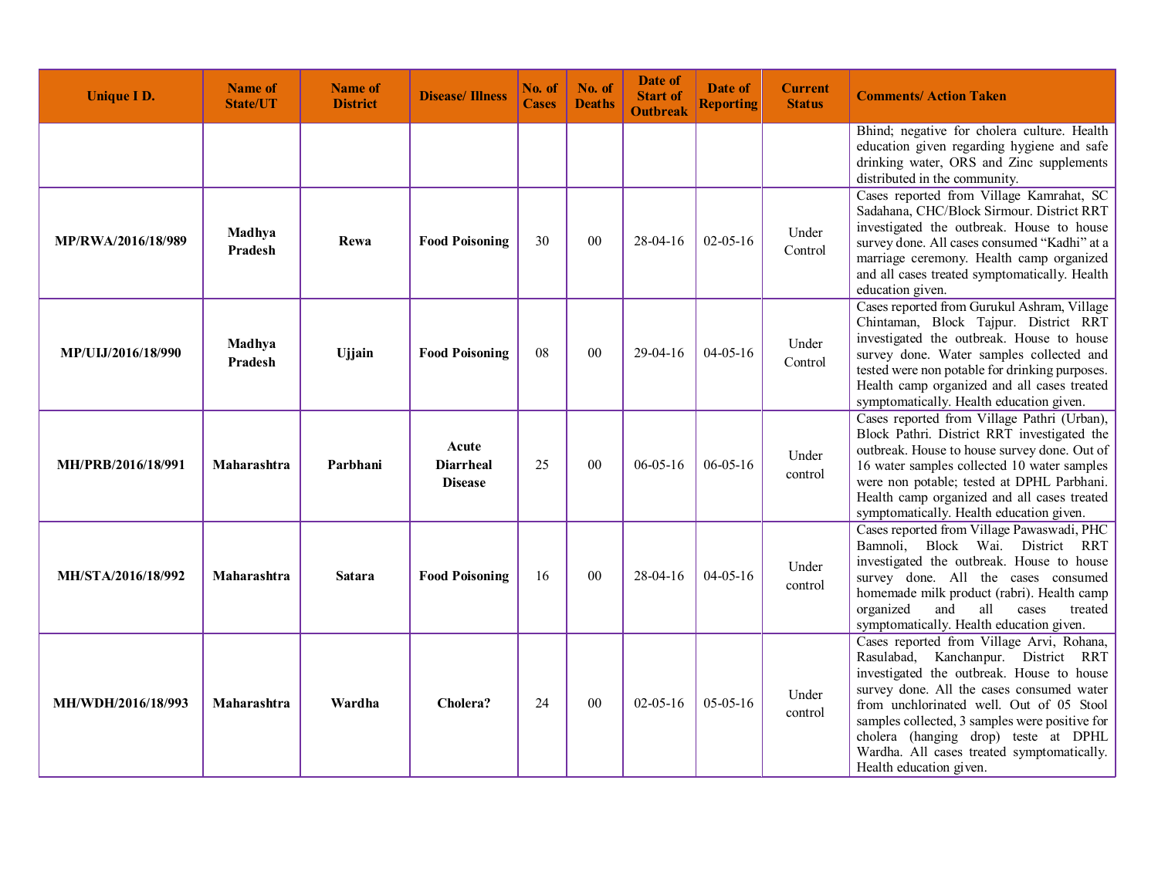| <b>Unique I D.</b>        | <b>Name of</b><br><b>State/UT</b> | <b>Name of</b><br><b>District</b> | <b>Disease/Illness</b>                      | No. of<br><b>Cases</b> | No. of<br><b>Deaths</b> | Date of<br><b>Start of</b><br><b>Outbreak</b> | Date of<br><b>Reporting</b> | <b>Current</b><br><b>Status</b> | <b>Comments/ Action Taken</b>                                                                                                                                                                                                                                                                                                                                                                |
|---------------------------|-----------------------------------|-----------------------------------|---------------------------------------------|------------------------|-------------------------|-----------------------------------------------|-----------------------------|---------------------------------|----------------------------------------------------------------------------------------------------------------------------------------------------------------------------------------------------------------------------------------------------------------------------------------------------------------------------------------------------------------------------------------------|
|                           |                                   |                                   |                                             |                        |                         |                                               |                             |                                 | Bhind; negative for cholera culture. Health<br>education given regarding hygiene and safe<br>drinking water, ORS and Zinc supplements<br>distributed in the community.                                                                                                                                                                                                                       |
| MP/RWA/2016/18/989        | Madhya<br>Pradesh                 | Rewa                              | <b>Food Poisoning</b>                       | 30                     | 00                      | $28-04-16$                                    | $02 - 05 - 16$              | Under<br>Control                | Cases reported from Village Kamrahat, SC<br>Sadahana, CHC/Block Sirmour. District RRT<br>investigated the outbreak. House to house<br>survey done. All cases consumed "Kadhi" at a<br>marriage ceremony. Health camp organized<br>and all cases treated symptomatically. Health<br>education given.                                                                                          |
| <b>MP/ULJ/2016/18/990</b> | Madhya<br>Pradesh                 | <b>Ujjain</b>                     | <b>Food Poisoning</b>                       | 08                     | 00                      | $29-04-16$                                    | $04 - 05 - 16$              | Under<br>Control                | Cases reported from Gurukul Ashram, Village<br>Chintaman, Block Tajpur. District RRT<br>investigated the outbreak. House to house<br>survey done. Water samples collected and<br>tested were non potable for drinking purposes.<br>Health camp organized and all cases treated<br>symptomatically. Health education given.                                                                   |
| MH/PRB/2016/18/991        | Maharashtra                       | Parbhani                          | Acute<br><b>Diarrheal</b><br><b>Disease</b> | 25                     | 00                      | $06 - 05 - 16$                                | $06 - 05 - 16$              | Under<br>control                | Cases reported from Village Pathri (Urban),<br>Block Pathri. District RRT investigated the<br>outbreak. House to house survey done. Out of<br>16 water samples collected 10 water samples<br>were non potable; tested at DPHL Parbhani.<br>Health camp organized and all cases treated<br>symptomatically. Health education given.                                                           |
| MH/STA/2016/18/992        | Maharashtra                       | <b>Satara</b>                     | <b>Food Poisoning</b>                       | 16                     | $00\,$                  | 28-04-16                                      | $04 - 05 - 16$              | Under<br>control                | Cases reported from Village Pawaswadi, PHC<br>Bamnoli, Block Wai. District RRT<br>investigated the outbreak. House to house<br>survey done. All the cases consumed<br>homemade milk product (rabri). Health camp<br>all<br>organized<br>and<br>cases<br>treated<br>symptomatically. Health education given.                                                                                  |
| MH/WDH/2016/18/993        | Maharashtra                       | Wardha                            | Cholera?                                    | 24                     | 00                      | $02 - 05 - 16$                                | $05-05-16$                  | Under<br>control                | Cases reported from Village Arvi, Rohana,<br>Kanchanpur. District RRT<br>Rasulabad,<br>investigated the outbreak. House to house<br>survey done. All the cases consumed water<br>from unchlorinated well. Out of 05 Stool<br>samples collected, 3 samples were positive for<br>cholera (hanging drop) teste at DPHL<br>Wardha. All cases treated symptomatically.<br>Health education given. |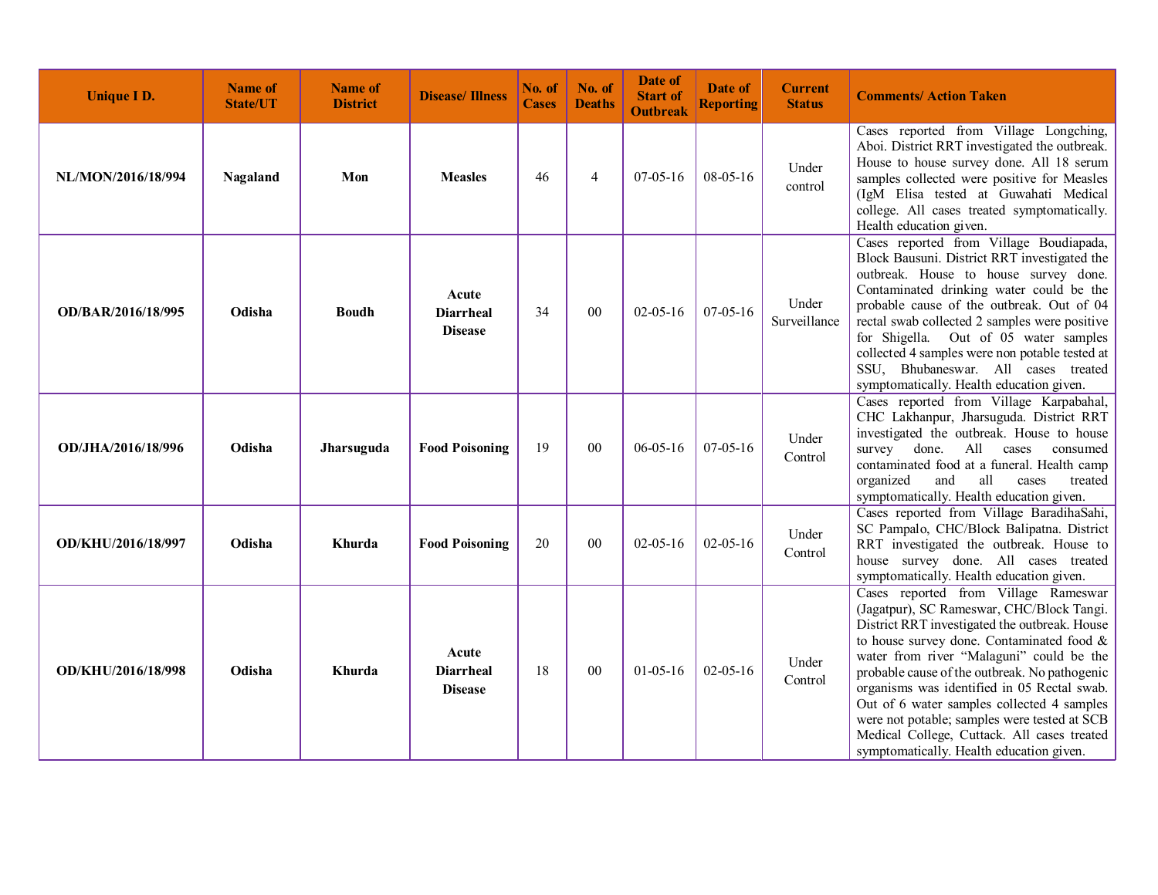| <b>Unique I D.</b> | Name of<br><b>State/UT</b> | <b>Name of</b><br><b>District</b> | <b>Disease/Illness</b>                      | No. of<br><b>Cases</b> | No. of<br><b>Deaths</b> | Date of<br><b>Start of</b><br><b>Outbreak</b> | Date of<br><b>Reporting</b> | <b>Current</b><br><b>Status</b> | <b>Comments/ Action Taken</b>                                                                                                                                                                                                                                                                                                                                                                                                                                                                                        |
|--------------------|----------------------------|-----------------------------------|---------------------------------------------|------------------------|-------------------------|-----------------------------------------------|-----------------------------|---------------------------------|----------------------------------------------------------------------------------------------------------------------------------------------------------------------------------------------------------------------------------------------------------------------------------------------------------------------------------------------------------------------------------------------------------------------------------------------------------------------------------------------------------------------|
| NL/MON/2016/18/994 | Nagaland                   | Mon                               | <b>Measles</b>                              | 46                     | $\overline{4}$          | $07-05-16$                                    | 08-05-16                    | Under<br>control                | Cases reported from Village Longching,<br>Aboi. District RRT investigated the outbreak.<br>House to house survey done. All 18 serum<br>samples collected were positive for Measles<br>(IgM Elisa tested at Guwahati Medical<br>college. All cases treated symptomatically.<br>Health education given.                                                                                                                                                                                                                |
| OD/BAR/2016/18/995 | Odisha                     | <b>Boudh</b>                      | Acute<br><b>Diarrheal</b><br><b>Disease</b> | 34                     | 00                      | $02 - 05 - 16$                                | $07 - 05 - 16$              | Under<br>Surveillance           | Cases reported from Village Boudiapada,<br>Block Bausuni. District RRT investigated the<br>outbreak. House to house survey done.<br>Contaminated drinking water could be the<br>probable cause of the outbreak. Out of 04<br>rectal swab collected 2 samples were positive<br>for Shigella. Out of 05 water samples<br>collected 4 samples were non potable tested at<br>SSU, Bhubaneswar. All cases treated<br>symptomatically. Health education given.                                                             |
| OD/JHA/2016/18/996 | Odisha                     | Jharsuguda                        | <b>Food Poisoning</b>                       | 19                     | 00                      | $06 - 05 - 16$                                | $07 - 05 - 16$              | Under<br>Control                | Cases reported from Village Karpabahal,<br>CHC Lakhanpur, Jharsuguda. District RRT<br>investigated the outbreak. House to house<br>survey done. All cases<br>consumed<br>contaminated food at a funeral. Health camp<br>all<br>organized<br>and<br>cases<br>treated<br>symptomatically. Health education given.                                                                                                                                                                                                      |
| OD/KHU/2016/18/997 | Odisha                     | Khurda                            | <b>Food Poisoning</b>                       | 20                     | 00                      | $02 - 05 - 16$                                | $02 - 05 - 16$              | Under<br>Control                | Cases reported from Village BaradihaSahi,<br>SC Pampalo, CHC/Block Balipatna. District<br>RRT investigated the outbreak. House to<br>house survey done. All cases treated<br>symptomatically. Health education given.                                                                                                                                                                                                                                                                                                |
| OD/KHU/2016/18/998 | Odisha                     | Khurda                            | Acute<br><b>Diarrheal</b><br><b>Disease</b> | 18                     | 00                      | $01-05-16$                                    | $02 - 05 - 16$              | Under<br>Control                | Cases reported from Village Rameswar<br>(Jagatpur), SC Rameswar, CHC/Block Tangi.<br>District RRT investigated the outbreak. House<br>to house survey done. Contaminated food &<br>water from river "Malaguni" could be the<br>probable cause of the outbreak. No pathogenic<br>organisms was identified in 05 Rectal swab.<br>Out of 6 water samples collected 4 samples<br>were not potable; samples were tested at SCB<br>Medical College, Cuttack. All cases treated<br>symptomatically. Health education given. |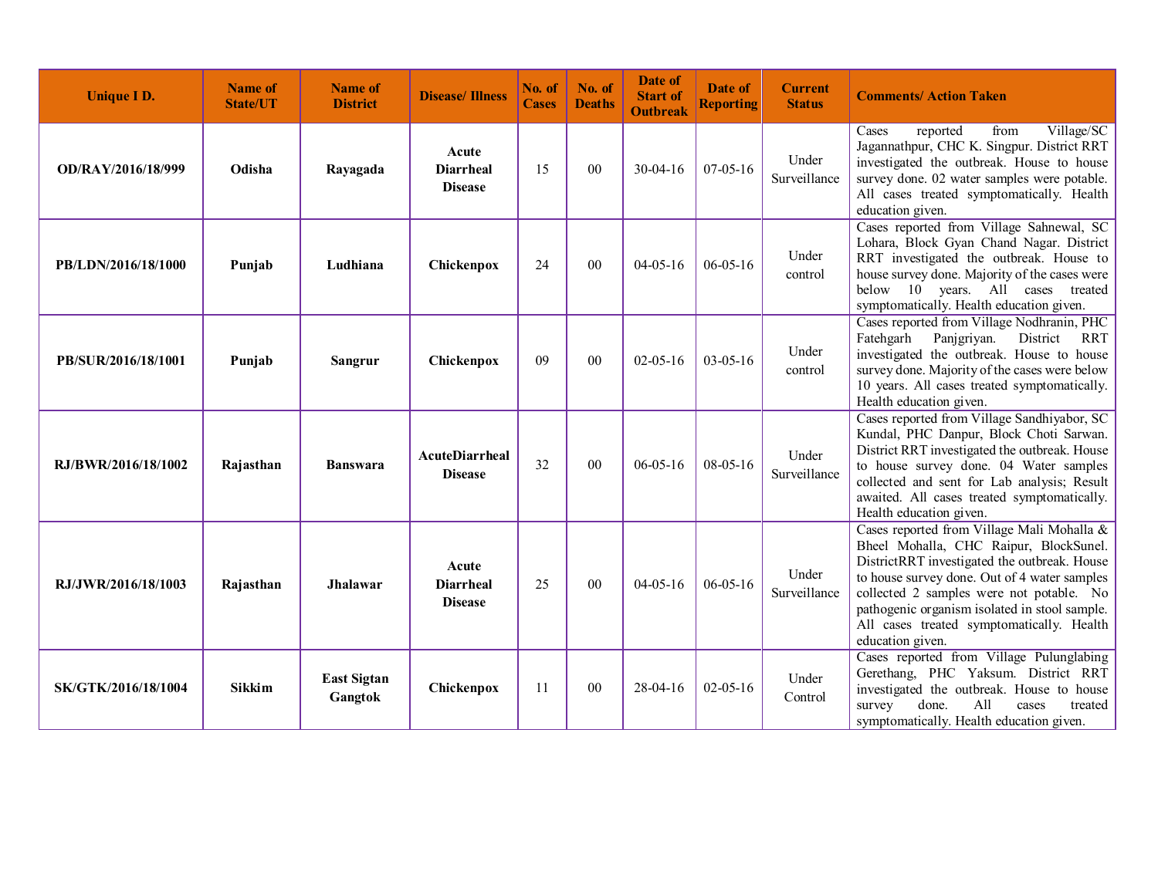| <b>Unique I D.</b>  | <b>Name of</b><br><b>State/UT</b> | <b>Name of</b><br><b>District</b> | <b>Disease/Illness</b>                      | No. of<br><b>Cases</b> | No. of<br><b>Deaths</b> | Date of<br><b>Start of</b><br><b>Outbreak</b> | Date of<br><b>Reporting</b> | <b>Current</b><br><b>Status</b> | <b>Comments/ Action Taken</b>                                                                                                                                                                                                                                                                                                                      |
|---------------------|-----------------------------------|-----------------------------------|---------------------------------------------|------------------------|-------------------------|-----------------------------------------------|-----------------------------|---------------------------------|----------------------------------------------------------------------------------------------------------------------------------------------------------------------------------------------------------------------------------------------------------------------------------------------------------------------------------------------------|
| OD/RAY/2016/18/999  | Odisha                            | Rayagada                          | Acute<br>Diarrheal<br><b>Disease</b>        | 15                     | 00                      | $30 - 04 - 16$                                | $07 - 05 - 16$              | Under<br>Surveillance           | reported<br>Village/SC<br>from<br>Cases<br>Jagannathpur, CHC K. Singpur. District RRT<br>investigated the outbreak. House to house<br>survey done. 02 water samples were potable.<br>All cases treated symptomatically. Health<br>education given.                                                                                                 |
| PB/LDN/2016/18/1000 | Punjab                            | Ludhiana                          | Chickenpox                                  | 24                     | $00\,$                  | $04-05-16$                                    | $06 - 05 - 16$              | Under<br>control                | Cases reported from Village Sahnewal, SC<br>Lohara, Block Gyan Chand Nagar. District<br>RRT investigated the outbreak. House to<br>house survey done. Majority of the cases were<br>below 10 years. All cases treated<br>symptomatically. Health education given.                                                                                  |
| PB/SUR/2016/18/1001 | Punjab                            | Sangrur                           | Chickenpox                                  | 09                     | $00\,$                  | $02 - 05 - 16$                                | $03-05-16$                  | Under<br>control                | Cases reported from Village Nodhranin, PHC<br>Fatehgarh<br>Panjgriyan.<br>District<br>RRT<br>investigated the outbreak. House to house<br>survey done. Majority of the cases were below<br>10 years. All cases treated symptomatically.<br>Health education given.                                                                                 |
| RJ/BWR/2016/18/1002 | Rajasthan                         | <b>Banswara</b>                   | AcuteDiarrheal<br><b>Disease</b>            | 32                     | 00                      | $06 - 05 - 16$                                | 08-05-16                    | Under<br>Surveillance           | Cases reported from Village Sandhiyabor, SC<br>Kundal, PHC Danpur, Block Choti Sarwan.<br>District RRT investigated the outbreak. House<br>to house survey done. 04 Water samples<br>collected and sent for Lab analysis; Result<br>awaited. All cases treated symptomatically.<br>Health education given.                                         |
| RJ/JWR/2016/18/1003 | Rajasthan                         | Jhalawar                          | Acute<br><b>Diarrheal</b><br><b>Disease</b> | 25                     | 00                      | $04 - 05 - 16$                                | $06 - 05 - 16$              | Under<br>Surveillance           | Cases reported from Village Mali Mohalla &<br>Bheel Mohalla, CHC Raipur, BlockSunel.<br>DistrictRRT investigated the outbreak. House<br>to house survey done. Out of 4 water samples<br>collected 2 samples were not potable. No<br>pathogenic organism isolated in stool sample.<br>All cases treated symptomatically. Health<br>education given. |
| SK/GTK/2016/18/1004 | <b>Sikkim</b>                     | <b>East Sigtan</b><br>Gangtok     | Chickenpox                                  | 11                     | 00                      | 28-04-16                                      | $02 - 05 - 16$              | Under<br>Control                | Cases reported from Village Pulunglabing<br>Gerethang, PHC Yaksum. District RRT<br>investigated the outbreak. House to house<br>All<br>survey<br>done.<br>cases<br>treated<br>symptomatically. Health education given.                                                                                                                             |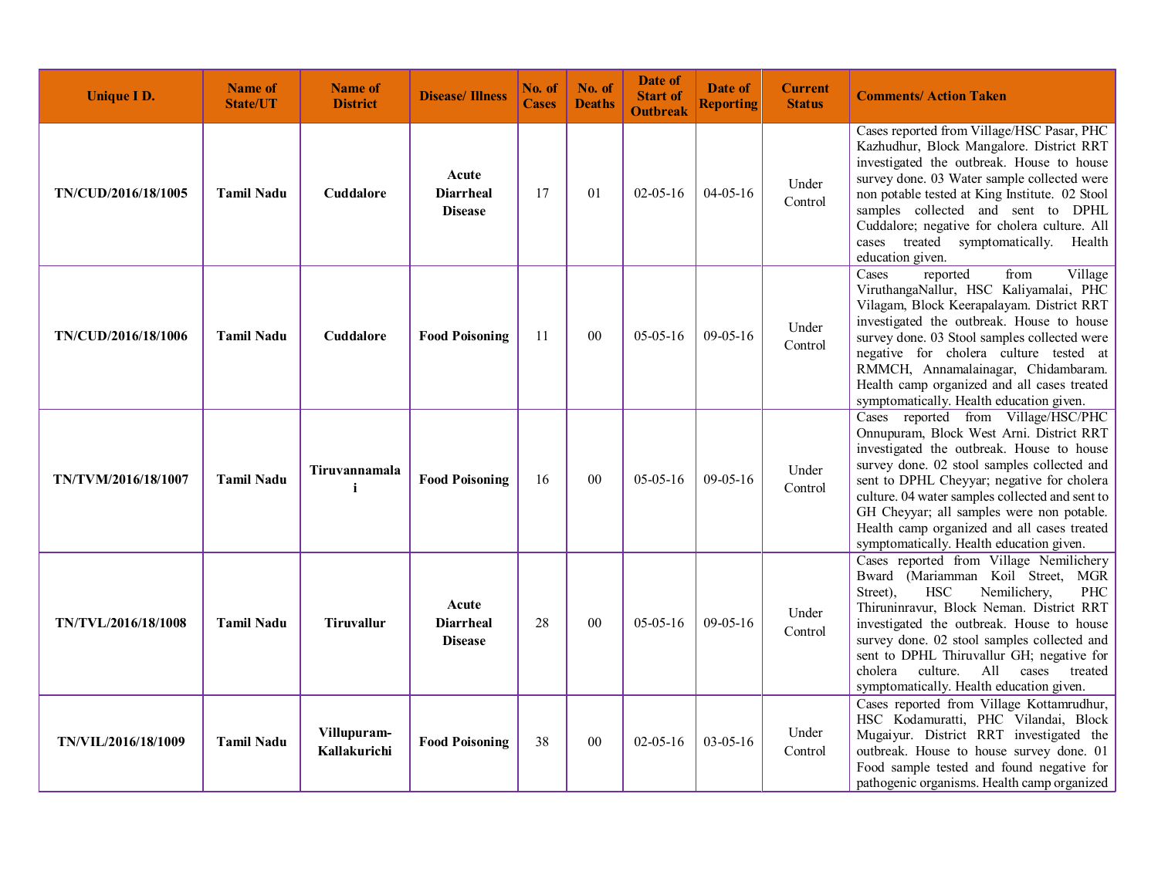| <b>Unique I D.</b>  | <b>Name of</b><br><b>State/UT</b> | <b>Name of</b><br><b>District</b> | <b>Disease/Illness</b>                      | No. of<br><b>Cases</b> | No. of<br><b>Deaths</b> | Date of<br><b>Start of</b><br><b>Outbreak</b> | Date of<br><b>Reporting</b> | <b>Current</b><br><b>Status</b> | <b>Comments/Action Taken</b>                                                                                                                                                                                                                                                                                                                                                                                         |
|---------------------|-----------------------------------|-----------------------------------|---------------------------------------------|------------------------|-------------------------|-----------------------------------------------|-----------------------------|---------------------------------|----------------------------------------------------------------------------------------------------------------------------------------------------------------------------------------------------------------------------------------------------------------------------------------------------------------------------------------------------------------------------------------------------------------------|
| TN/CUD/2016/18/1005 | <b>Tamil Nadu</b>                 | <b>Cuddalore</b>                  | Acute<br><b>Diarrheal</b><br><b>Disease</b> | 17                     | 01                      | $02 - 05 - 16$                                | $04 - 05 - 16$              | Under<br>Control                | Cases reported from Village/HSC Pasar, PHC<br>Kazhudhur, Block Mangalore. District RRT<br>investigated the outbreak. House to house<br>survey done. 03 Water sample collected were<br>non potable tested at King Institute. 02 Stool<br>samples collected and sent to DPHL<br>Cuddalore; negative for cholera culture. All<br>cases treated symptomatically. Health<br>education given.                              |
| TN/CUD/2016/18/1006 | <b>Tamil Nadu</b>                 | Cuddalore                         | <b>Food Poisoning</b>                       | 11                     | 00                      | $05-05-16$                                    | $09-05-16$                  | Under<br>Control                | reported<br>Cases<br>Village<br>from<br>ViruthangaNallur, HSC Kaliyamalai, PHC<br>Vilagam, Block Keerapalayam. District RRT<br>investigated the outbreak. House to house<br>survey done. 03 Stool samples collected were<br>negative for cholera culture tested at<br>RMMCH, Annamalainagar, Chidambaram.<br>Health camp organized and all cases treated<br>symptomatically. Health education given.                 |
| TN/TVM/2016/18/1007 | <b>Tamil Nadu</b>                 | Tiruvannamala                     | <b>Food Poisoning</b>                       | 16                     | 00                      | $05 - 05 - 16$                                | $09-05-16$                  | Under<br>Control                | Cases reported from Village/HSC/PHC<br>Onnupuram, Block West Arni. District RRT<br>investigated the outbreak. House to house<br>survey done. 02 stool samples collected and<br>sent to DPHL Cheyyar; negative for cholera<br>culture. 04 water samples collected and sent to<br>GH Cheyyar; all samples were non potable.<br>Health camp organized and all cases treated<br>symptomatically. Health education given. |
| TN/TVL/2016/18/1008 | <b>Tamil Nadu</b>                 | <b>Tiruvallur</b>                 | Acute<br><b>Diarrheal</b><br><b>Disease</b> | 28                     | 0 <sub>0</sub>          | $05-05-16$                                    | $09-05-16$                  | Under<br>Control                | Cases reported from Village Nemilichery<br>Bward (Mariamman Koil Street, MGR<br>Nemilichery,<br>Street),<br><b>HSC</b><br>PHC<br>Thiruninravur, Block Neman. District RRT<br>investigated the outbreak. House to house<br>survey done. 02 stool samples collected and<br>sent to DPHL Thiruvallur GH; negative for<br>culture.<br>cholera<br>All<br>cases<br>treated<br>symptomatically. Health education given.     |
| TN/VIL/2016/18/1009 | <b>Tamil Nadu</b>                 | Villupuram-<br>Kallakurichi       | <b>Food Poisoning</b>                       | 38                     | 00                      | $02 - 05 - 16$                                | $03-05-16$                  | Under<br>Control                | Cases reported from Village Kottamrudhur,<br>HSC Kodamuratti, PHC Vilandai, Block<br>Mugaiyur. District RRT investigated the<br>outbreak. House to house survey done. 01<br>Food sample tested and found negative for<br>pathogenic organisms. Health camp organized                                                                                                                                                 |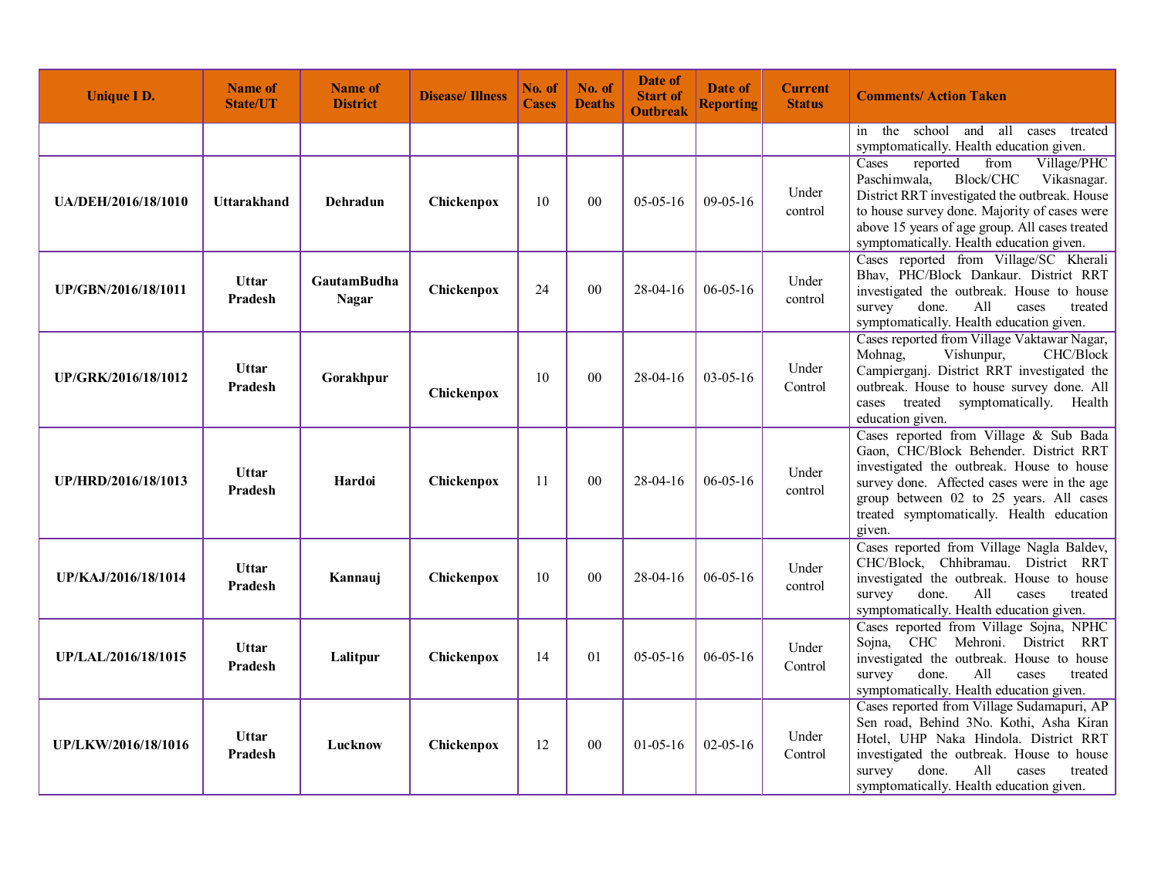| <b>Unique ID.</b>   | <b>Name of</b><br><b>State/UT</b> | <b>Name of</b><br><b>District</b>  | <b>Disease/Illness</b> | No. of<br><b>Cases</b> | No. of<br><b>Deaths</b> | Date of<br><b>Start of</b><br><b>Outbreak</b> | Date of<br><b>Reporting</b> | <b>Current</b><br><b>Status</b> | <b>Comments/Action Taken</b>                                                                                                                                                                                                                                                        |
|---------------------|-----------------------------------|------------------------------------|------------------------|------------------------|-------------------------|-----------------------------------------------|-----------------------------|---------------------------------|-------------------------------------------------------------------------------------------------------------------------------------------------------------------------------------------------------------------------------------------------------------------------------------|
|                     |                                   |                                    |                        |                        |                         |                                               |                             |                                 | in the school and all cases treated<br>symptomatically. Health education given.                                                                                                                                                                                                     |
| UA/DEH/2016/18/1010 | Uttarakhand                       | Dehradun                           | <b>Chickenpox</b>      | 10                     | 00                      | $05-05-16$                                    | $09-05-16$                  | Under<br>control                | Cases<br>reported<br>from<br>Village/PHC<br>Paschimwala,<br>Block/CHC<br>Vikasnagar.<br>District RRT investigated the outbreak. House<br>to house survey done. Majority of cases were<br>above 15 years of age group. All cases treated<br>symptomatically. Health education given. |
| UP/GBN/2016/18/1011 | <b>Uttar</b><br>Pradesh           | <b>GautamBudha</b><br><b>Nagar</b> | Chickenpox             | 24                     | 00                      | $28 - 04 - 16$                                | $06 - 05 - 16$              | Under<br>control                | Cases reported from Village/SC Kherali<br>Bhav, PHC/Block Dankaur. District RRT<br>investigated the outbreak. House to house<br>survey<br>done.<br>All<br>cases<br>treated<br>symptomatically. Health education given.                                                              |
| UP/GRK/2016/18/1012 | <b>Uttar</b><br>Pradesh           | Gorakhpur                          | Chickenpox             | 10                     | 00                      | $28-04-16$                                    | $03-05-16$                  | Under<br>Control                | Cases reported from Village Vaktawar Nagar,<br>Mohnag,<br>Vishunpur,<br>CHC/Block<br>Campierganj. District RRT investigated the<br>outbreak. House to house survey done. All<br>cases treated<br>symptomatically. Health<br>education given.                                        |
| UP/HRD/2016/18/1013 | Uttar<br>Pradesh                  | Hardoi                             | Chickenpox             | 11                     | 00                      | $28 - 04 - 16$                                | $06 - 05 - 16$              | Under<br>control                | Cases reported from Village & Sub Bada<br>Gaon, CHC/Block Behender. District RRT<br>investigated the outbreak. House to house<br>survey done. Affected cases were in the age<br>group between 02 to 25 years. All cases<br>treated symptomatically. Health education<br>given.      |
| UP/KAJ/2016/18/1014 | <b>Uttar</b><br>Pradesh           | Kannauj                            | Chickenpox             | 10                     | 0 <sub>0</sub>          | $28-04-16$                                    | $06 - 05 - 16$              | Under<br>control                | Cases reported from Village Nagla Baldev,<br>CHC/Block, Chhibramau. District RRT<br>investigated the outbreak. House to house<br>All<br>survey<br>done.<br>cases<br>treated<br>symptomatically. Health education given.                                                             |
| UP/LAL/2016/18/1015 | <b>Uttar</b><br>Pradesh           | Lalitpur                           | Chickenpox             | 14                     | 01                      | $05-05-16$                                    | $06 - 05 - 16$              | Under<br>Control                | Cases reported from Village Sojna, NPHC<br>CHC Mehroni. District RRT<br>Sojna,<br>investigated the outbreak. House to house<br>survey<br>done.<br>All<br>cases<br>treated<br>symptomatically. Health education given.                                                               |
| UP/LKW/2016/18/1016 | <b>Uttar</b><br>Pradesh           | Lucknow                            | Chickenpox             | 12                     | 00                      | $01-05-16$                                    | $02 - 05 - 16$              | Under<br>Control                | Cases reported from Village Sudamapuri, AP<br>Sen road, Behind 3No. Kothi, Asha Kiran<br>Hotel, UHP Naka Hindola. District RRT<br>investigated the outbreak. House to house<br>done.<br>All<br>survey<br>cases<br>treated<br>symptomatically. Health education given.               |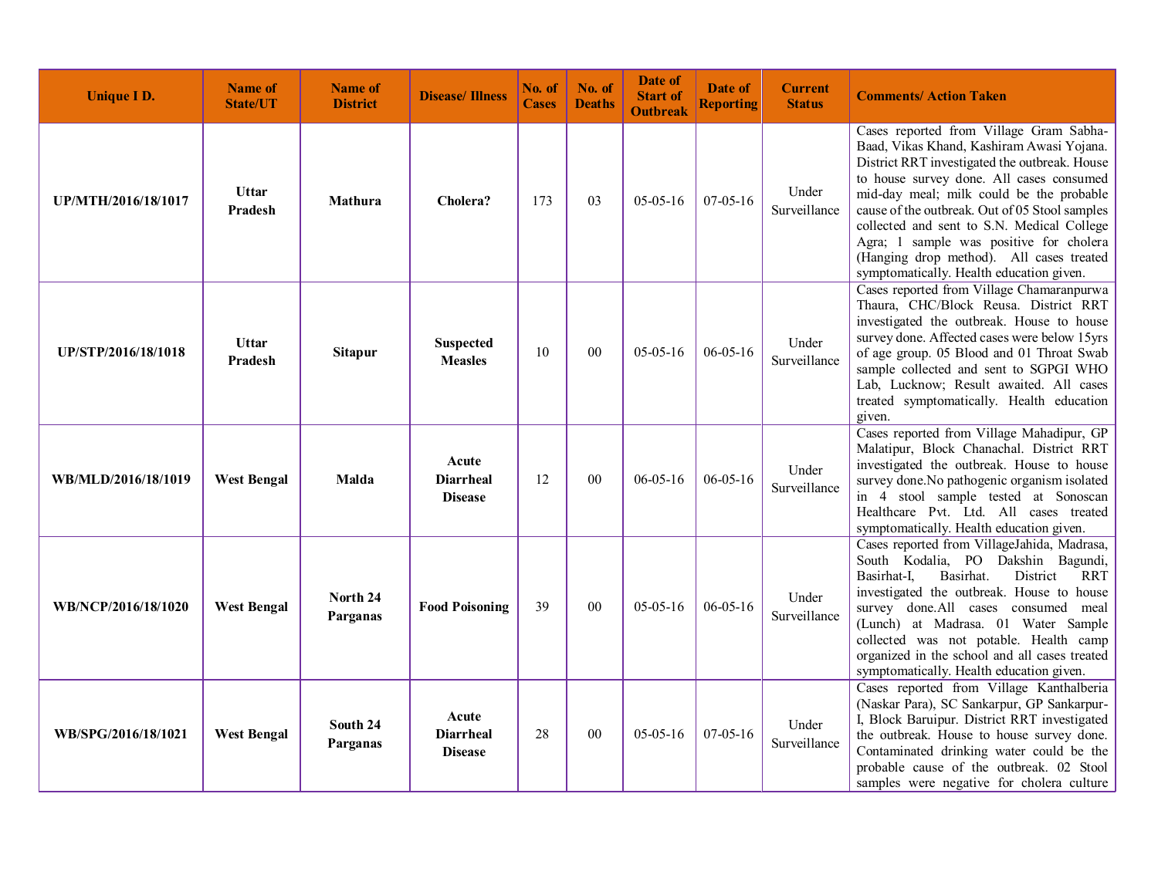| <b>Unique ID.</b>   | <b>Name of</b><br><b>State/UT</b> | <b>Name of</b><br><b>District</b> | <b>Disease/Illness</b>                      | No. of<br><b>Cases</b> | No. of<br><b>Deaths</b> | Date of<br><b>Start of</b><br><b>Outbreak</b> | Date of<br><b>Reporting</b> | <b>Current</b><br><b>Status</b> | <b>Comments/Action Taken</b>                                                                                                                                                                                                                                                                                                                                                                                                                                     |
|---------------------|-----------------------------------|-----------------------------------|---------------------------------------------|------------------------|-------------------------|-----------------------------------------------|-----------------------------|---------------------------------|------------------------------------------------------------------------------------------------------------------------------------------------------------------------------------------------------------------------------------------------------------------------------------------------------------------------------------------------------------------------------------------------------------------------------------------------------------------|
| UP/MTH/2016/18/1017 | <b>Uttar</b><br>Pradesh           | <b>Mathura</b>                    | Cholera?                                    | 173                    | 03                      | $05-05-16$                                    | $07-05-16$                  | Under<br>Surveillance           | Cases reported from Village Gram Sabha-<br>Baad, Vikas Khand, Kashiram Awasi Yojana.<br>District RRT investigated the outbreak. House<br>to house survey done. All cases consumed<br>mid-day meal; milk could be the probable<br>cause of the outbreak. Out of 05 Stool samples<br>collected and sent to S.N. Medical College<br>Agra; 1 sample was positive for cholera<br>(Hanging drop method). All cases treated<br>symptomatically. Health education given. |
| UP/STP/2016/18/1018 | <b>Uttar</b><br><b>Pradesh</b>    | <b>Sitapur</b>                    | <b>Suspected</b><br><b>Measles</b>          | 10                     | 0 <sup>0</sup>          | $05-05-16$                                    | $06 - 05 - 16$              | Under<br>Surveillance           | Cases reported from Village Chamaranpurwa<br>Thaura, CHC/Block Reusa. District RRT<br>investigated the outbreak. House to house<br>survey done. Affected cases were below 15yrs<br>of age group. 05 Blood and 01 Throat Swab<br>sample collected and sent to SGPGI WHO<br>Lab, Lucknow; Result awaited. All cases<br>treated symptomatically. Health education<br>given.                                                                                         |
| WB/MLD/2016/18/1019 | <b>West Bengal</b>                | Malda                             | Acute<br><b>Diarrheal</b><br><b>Disease</b> | 12                     | 00                      | $06 - 05 - 16$                                | $06 - 05 - 16$              | Under<br>Surveillance           | Cases reported from Village Mahadipur, GP<br>Malatipur, Block Chanachal. District RRT<br>investigated the outbreak. House to house<br>survey done. No pathogenic organism isolated<br>in 4 stool sample tested at Sonoscan<br>Healthcare Pvt. Ltd. All cases treated<br>symptomatically. Health education given.                                                                                                                                                 |
| WB/NCP/2016/18/1020 | <b>West Bengal</b>                | North 24<br>Parganas              | <b>Food Poisoning</b>                       | 39                     | 00                      | $05-05-16$                                    | $06 - 05 - 16$              | Under<br>Surveillance           | Cases reported from VillageJahida, Madrasa,<br>South Kodalia, PO Dakshin Bagundi,<br>Basirhat-I,<br>Basirhat.<br>District<br><b>RRT</b><br>investigated the outbreak. House to house<br>survey done.All cases consumed meal<br>(Lunch) at Madrasa. 01 Water Sample<br>collected was not potable. Health camp<br>organized in the school and all cases treated<br>symptomatically. Health education given.                                                        |
| WB/SPG/2016/18/1021 | <b>West Bengal</b>                | South 24<br>Parganas              | Acute<br><b>Diarrheal</b><br><b>Disease</b> | 28                     | 0 <sub>0</sub>          | $05-05-16$                                    | $07-05-16$                  | Under<br>Surveillance           | Cases reported from Village Kanthalberia<br>(Naskar Para), SC Sankarpur, GP Sankarpur-<br>I, Block Baruipur. District RRT investigated<br>the outbreak. House to house survey done.<br>Contaminated drinking water could be the<br>probable cause of the outbreak. 02 Stool<br>samples were negative for cholera culture                                                                                                                                         |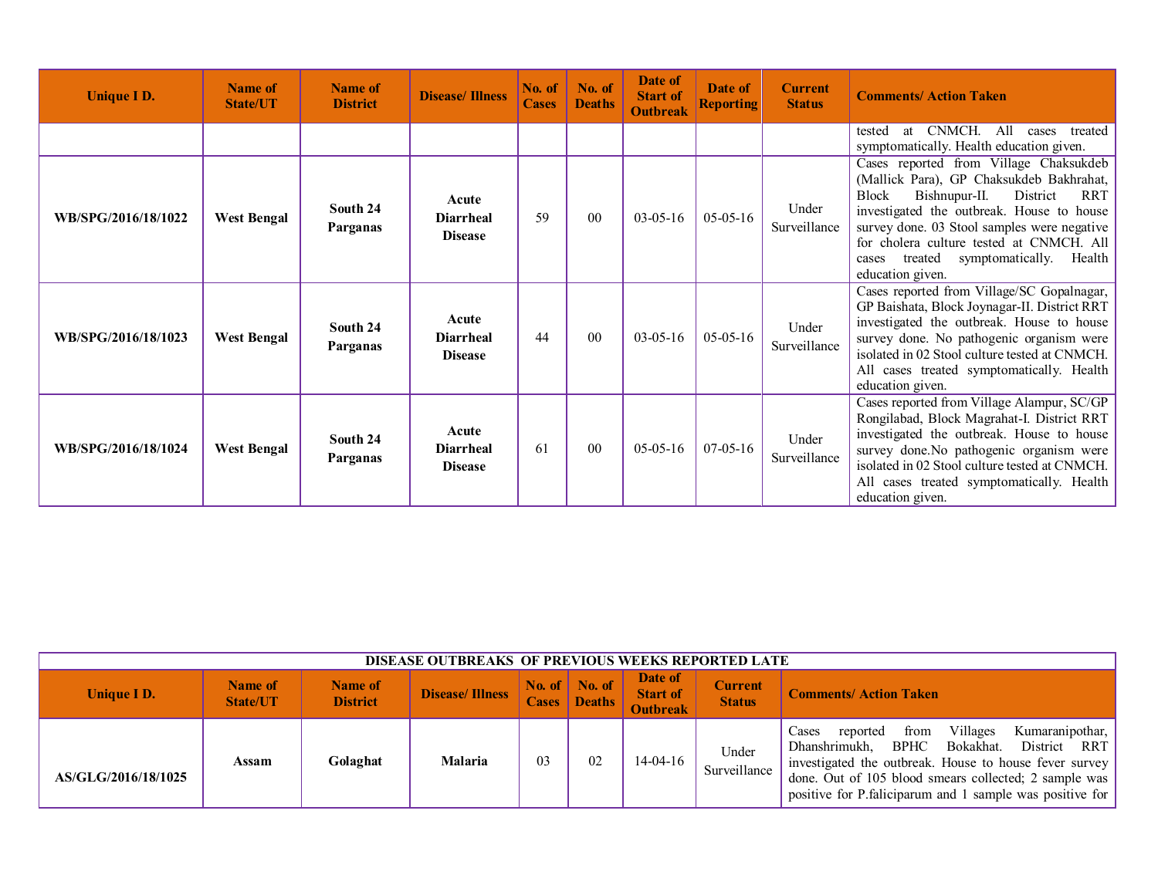| <b>Unique I D.</b>  | Name of<br><b>State/UT</b> | <b>Name of</b><br><b>District</b> | <b>Disease/Illness</b>                      | No. of<br><b>Cases</b> | No. of<br><b>Deaths</b> | Date of<br><b>Start of</b><br><b>Outbreak</b> | Date of<br><b>Reporting</b> | <b>Current</b><br><b>Status</b> | <b>Comments/Action Taken</b>                                                                                                                                                                                                                                                                                                                                |
|---------------------|----------------------------|-----------------------------------|---------------------------------------------|------------------------|-------------------------|-----------------------------------------------|-----------------------------|---------------------------------|-------------------------------------------------------------------------------------------------------------------------------------------------------------------------------------------------------------------------------------------------------------------------------------------------------------------------------------------------------------|
|                     |                            |                                   |                                             |                        |                         |                                               |                             |                                 | CNMCH. All<br>tested<br>at<br>cases treated<br>symptomatically. Health education given.                                                                                                                                                                                                                                                                     |
| WB/SPG/2016/18/1022 | <b>West Bengal</b>         | South 24<br>Parganas              | Acute<br><b>Diarrheal</b><br><b>Disease</b> | 59                     | 0 <sub>0</sub>          | $03-05-16$                                    | $05-05-16$                  | Under<br>Surveillance           | Cases reported from Village Chaksukdeb<br>(Mallick Para), GP Chaksukdeb Bakhrahat,<br><b>Block</b><br>Bishnupur-II.<br>District<br><b>RRT</b><br>investigated the outbreak. House to house<br>survey done. 03 Stool samples were negative<br>for cholera culture tested at CNMCH. All<br>symptomatically.<br>treated<br>Health<br>cases<br>education given. |
| WB/SPG/2016/18/1023 | <b>West Bengal</b>         | South 24<br>Parganas              | Acute<br><b>Diarrheal</b><br><b>Disease</b> | 44                     | 0 <sub>0</sub>          | $03-05-16$                                    | $05-05-16$                  | Under<br>Surveillance           | Cases reported from Village/SC Gopalnagar,<br>GP Baishata, Block Joynagar-II. District RRT<br>investigated the outbreak. House to house<br>survey done. No pathogenic organism were<br>isolated in 02 Stool culture tested at CNMCH.<br>All cases treated symptomatically. Health<br>education given.                                                       |
| WB/SPG/2016/18/1024 | <b>West Bengal</b>         | South 24<br>Parganas              | Acute<br><b>Diarrheal</b><br><b>Disease</b> | 61                     | 0 <sub>0</sub>          | $05-05-16$                                    | $07-05-16$                  | Under<br>Surveillance           | Cases reported from Village Alampur, SC/GP<br>Rongilabad, Block Magrahat-I. District RRT<br>investigated the outbreak. House to house<br>survey done. No pathogenic organism were<br>isolated in 02 Stool culture tested at CNMCH.<br>All cases treated symptomatically. Health<br>education given.                                                         |

| <b>DISEASE OUTBREAKS OF PREVIOUS WEEKS REPORTED LATE</b> |                            |                            |                        |    |                            |                                               |                                 |                                                                                                                                                                                                                                                                                                |  |  |  |
|----------------------------------------------------------|----------------------------|----------------------------|------------------------|----|----------------------------|-----------------------------------------------|---------------------------------|------------------------------------------------------------------------------------------------------------------------------------------------------------------------------------------------------------------------------------------------------------------------------------------------|--|--|--|
| Unique I D.                                              | Name of<br><b>State/UT</b> | Name of<br><b>District</b> | <b>Disease/Illness</b> |    | No. of No. of Cases Deaths | Date of<br><b>Start of</b><br><b>Outbreak</b> | <b>Current</b><br><b>Status</b> | <b>Comments/Action Taken</b>                                                                                                                                                                                                                                                                   |  |  |  |
| AS/GLG/2016/18/1025                                      | Assam                      | Golaghat                   | <b>Malaria</b>         | 03 | 02                         | $14-04-16$                                    | Under<br>Surveillance           | Villages<br>Kumaranipothar,<br>Cases<br>reported<br>from<br>Dhanshrimukh.<br>BPHC<br>Bokakhat.<br>District RRT<br>investigated the outbreak. House to house fever survey<br>done. Out of 105 blood smears collected; 2 sample was<br>positive for P. faliciparum and 1 sample was positive for |  |  |  |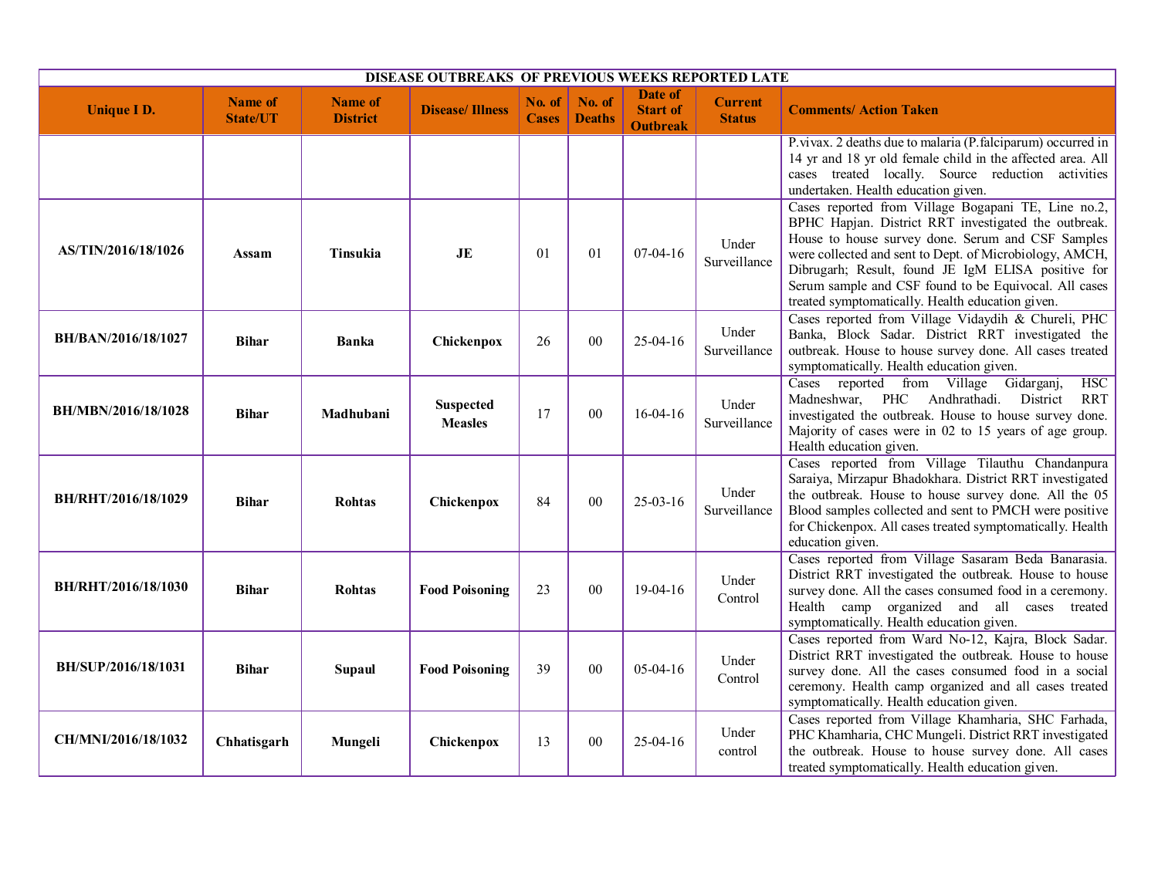| DISEASE OUTBREAKS OF PREVIOUS WEEKS REPORTED LATE |                                   |                                   |                                    |                        |                         |                                                      |                                 |                                                                                                                                                                                                                                                                                                                                                                                                |  |  |  |
|---------------------------------------------------|-----------------------------------|-----------------------------------|------------------------------------|------------------------|-------------------------|------------------------------------------------------|---------------------------------|------------------------------------------------------------------------------------------------------------------------------------------------------------------------------------------------------------------------------------------------------------------------------------------------------------------------------------------------------------------------------------------------|--|--|--|
| <b>Unique I D.</b>                                | <b>Name of</b><br><b>State/UT</b> | <b>Name of</b><br><b>District</b> | <b>Disease/Illness</b>             | No. of<br><b>Cases</b> | No. of<br><b>Deaths</b> | <b>Date of</b><br><b>Start of</b><br><b>Outbreak</b> | <b>Current</b><br><b>Status</b> | <b>Comments/Action Taken</b>                                                                                                                                                                                                                                                                                                                                                                   |  |  |  |
|                                                   |                                   |                                   |                                    |                        |                         |                                                      |                                 | P.vivax. 2 deaths due to malaria (P.falciparum) occurred in<br>14 yr and 18 yr old female child in the affected area. All<br>cases treated locally. Source reduction activities<br>undertaken. Health education given.                                                                                                                                                                         |  |  |  |
| AS/TIN/2016/18/1026                               | Assam                             | Tinsukia                          | <b>JE</b>                          | 01                     | 01                      | $07-04-16$                                           | Under<br>Surveillance           | Cases reported from Village Bogapani TE, Line no.2,<br>BPHC Hapjan. District RRT investigated the outbreak.<br>House to house survey done. Serum and CSF Samples<br>were collected and sent to Dept. of Microbiology, AMCH,<br>Dibrugarh; Result, found JE IgM ELISA positive for<br>Serum sample and CSF found to be Equivocal. All cases<br>treated symptomatically. Health education given. |  |  |  |
| BH/BAN/2016/18/1027                               | <b>Bihar</b>                      | <b>Banka</b>                      | Chickenpox                         | 26                     | 0 <sub>0</sub>          | $25-04-16$                                           | Under<br>Surveillance           | Cases reported from Village Vidaydih & Chureli, PHC<br>Banka, Block Sadar. District RRT investigated the<br>outbreak. House to house survey done. All cases treated<br>symptomatically. Health education given.                                                                                                                                                                                |  |  |  |
| BH/MBN/2016/18/1028                               | <b>Bihar</b>                      | Madhubani                         | <b>Suspected</b><br><b>Measles</b> | 17                     | 00                      | $16-04-16$                                           | Under<br>Surveillance           | HSC<br>Cases reported from Village Gidarganj,<br>Madneshwar, PHC Andhrathadi.<br>District<br><b>RRT</b><br>investigated the outbreak. House to house survey done.<br>Majority of cases were in 02 to 15 years of age group.<br>Health education given.                                                                                                                                         |  |  |  |
| BH/RHT/2016/18/1029                               | <b>Bihar</b>                      | <b>Rohtas</b>                     | Chickenpox                         | 84                     | 0 <sub>0</sub>          | $25 - 03 - 16$                                       | Under<br>Surveillance           | Cases reported from Village Tilauthu Chandanpura<br>Saraiya, Mirzapur Bhadokhara. District RRT investigated<br>the outbreak. House to house survey done. All the 05<br>Blood samples collected and sent to PMCH were positive<br>for Chickenpox. All cases treated symptomatically. Health<br>education given.                                                                                 |  |  |  |
| <b>BH/RHT/2016/18/1030</b>                        | <b>Bihar</b>                      | <b>Rohtas</b>                     | <b>Food Poisoning</b>              | 23                     | 0 <sub>0</sub>          | 19-04-16                                             | Under<br>Control                | Cases reported from Village Sasaram Beda Banarasia.<br>District RRT investigated the outbreak. House to house<br>survey done. All the cases consumed food in a ceremony.<br>Health camp organized and all cases treated<br>symptomatically. Health education given.                                                                                                                            |  |  |  |
| BH/SUP/2016/18/1031                               | <b>Bihar</b>                      | Supaul                            | <b>Food Poisoning</b>              | 39                     | 00                      | $05-04-16$                                           | Under<br>Control                | Cases reported from Ward No-12, Kajra, Block Sadar.<br>District RRT investigated the outbreak. House to house<br>survey done. All the cases consumed food in a social<br>ceremony. Health camp organized and all cases treated<br>symptomatically. Health education given.                                                                                                                     |  |  |  |
| CH/MNI/2016/18/1032                               | Chhatisgarh                       | Mungeli                           | Chickenpox                         | 13                     | 0 <sub>0</sub>          | 25-04-16                                             | Under<br>control                | Cases reported from Village Khamharia, SHC Farhada,<br>PHC Khamharia, CHC Mungeli. District RRT investigated<br>the outbreak. House to house survey done. All cases<br>treated symptomatically. Health education given.                                                                                                                                                                        |  |  |  |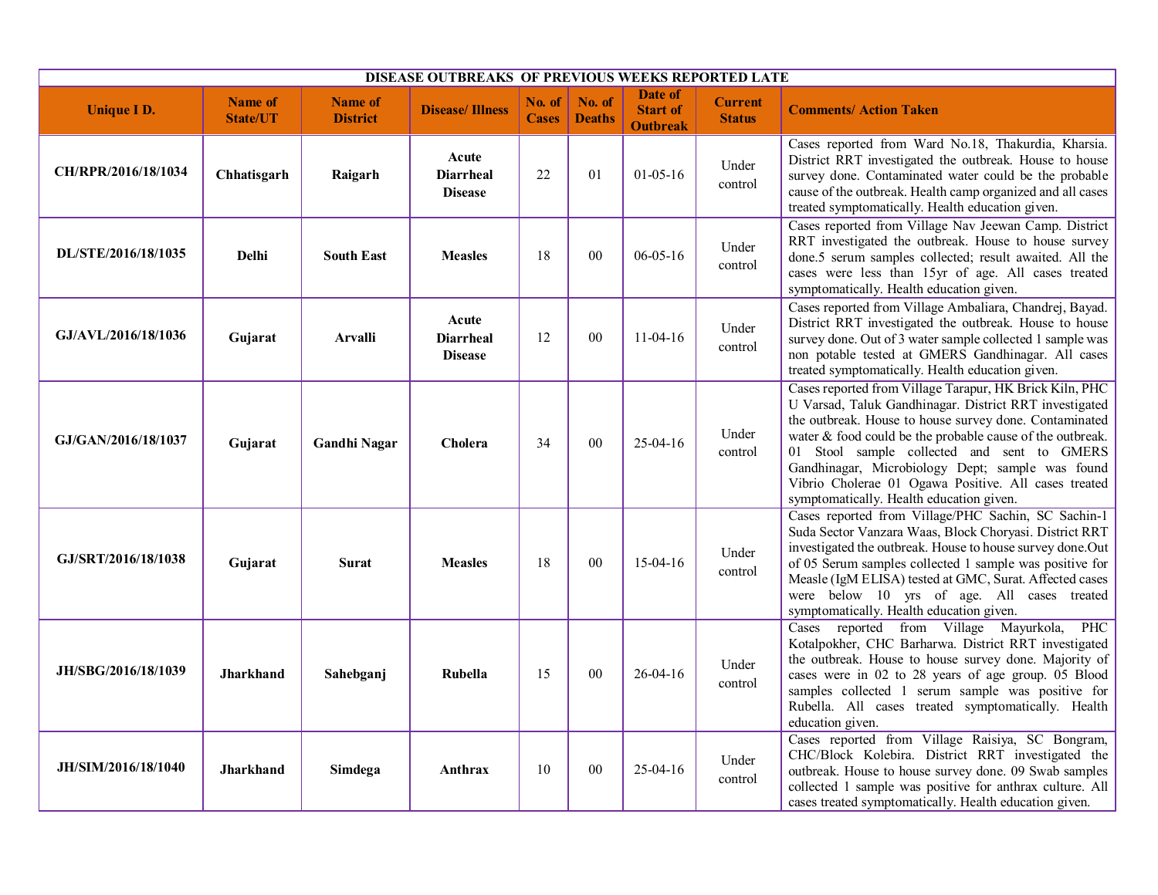| <b>DISEASE OUTBREAKS OF PREVIOUS WEEKS REPORTED LATE</b> |                                   |                                   |                                             |                        |                         |                                               |                                 |                                                                                                                                                                                                                                                                                                                                                                                                                                                 |  |  |  |
|----------------------------------------------------------|-----------------------------------|-----------------------------------|---------------------------------------------|------------------------|-------------------------|-----------------------------------------------|---------------------------------|-------------------------------------------------------------------------------------------------------------------------------------------------------------------------------------------------------------------------------------------------------------------------------------------------------------------------------------------------------------------------------------------------------------------------------------------------|--|--|--|
| <b>Unique I D.</b>                                       | <b>Name of</b><br><b>State/UT</b> | <b>Name of</b><br><b>District</b> | <b>Disease/Illness</b>                      | No. of<br><b>Cases</b> | No. of<br><b>Deaths</b> | Date of<br><b>Start of</b><br><b>Outbreak</b> | <b>Current</b><br><b>Status</b> | <b>Comments/Action Taken</b>                                                                                                                                                                                                                                                                                                                                                                                                                    |  |  |  |
| CH/RPR/2016/18/1034                                      | Chhatisgarh                       | Raigarh                           | Acute<br><b>Diarrheal</b><br><b>Disease</b> | 22                     | 01                      | $01 - 05 - 16$                                | Under<br>control                | Cases reported from Ward No.18, Thakurdia, Kharsia.<br>District RRT investigated the outbreak. House to house<br>survey done. Contaminated water could be the probable<br>cause of the outbreak. Health camp organized and all cases<br>treated symptomatically. Health education given.                                                                                                                                                        |  |  |  |
| DL/STE/2016/18/1035                                      | Delhi                             | <b>South East</b>                 | <b>Measles</b>                              | 18                     | 00                      | $06 - 05 - 16$                                | Under<br>control                | Cases reported from Village Nav Jeewan Camp. District<br>RRT investigated the outbreak. House to house survey<br>done.5 serum samples collected; result awaited. All the<br>cases were less than 15yr of age. All cases treated<br>symptomatically. Health education given.                                                                                                                                                                     |  |  |  |
| GJ/AVL/2016/18/1036                                      | Gujarat                           | <b>Arvalli</b>                    | Acute<br><b>Diarrheal</b><br><b>Disease</b> | 12                     | 00                      | $11-04-16$                                    | Under<br>control                | Cases reported from Village Ambaliara, Chandrej, Bayad.<br>District RRT investigated the outbreak. House to house<br>survey done. Out of 3 water sample collected 1 sample was<br>non potable tested at GMERS Gandhinagar. All cases<br>treated symptomatically. Health education given.                                                                                                                                                        |  |  |  |
| GJ/GAN/2016/18/1037                                      | Gujarat                           | <b>Gandhi Nagar</b>               | Cholera                                     | 34                     | 00                      | $25-04-16$                                    | Under<br>control                | Cases reported from Village Tarapur, HK Brick Kiln, PHC<br>U Varsad, Taluk Gandhinagar. District RRT investigated<br>the outbreak. House to house survey done. Contaminated<br>water & food could be the probable cause of the outbreak.<br>01 Stool sample collected and sent to GMERS<br>Gandhinagar, Microbiology Dept; sample was found<br>Vibrio Cholerae 01 Ogawa Positive. All cases treated<br>symptomatically. Health education given. |  |  |  |
| GJ/SRT/2016/18/1038                                      | Gujarat                           | <b>Surat</b>                      | <b>Measles</b>                              | 18                     | 00                      | $15-04-16$                                    | Under<br>control                | Cases reported from Village/PHC Sachin, SC Sachin-1<br>Suda Sector Vanzara Waas, Block Choryasi. District RRT<br>investigated the outbreak. House to house survey done.Out<br>of 05 Serum samples collected 1 sample was positive for<br>Measle (IgM ELISA) tested at GMC, Surat. Affected cases<br>were below 10 yrs of age. All cases treated<br>symptomatically. Health education given.                                                     |  |  |  |
| JH/SBG/2016/18/1039                                      | <b>Jharkhand</b>                  | Sahebganj                         | Rubella                                     | 15                     | 00                      | $26 - 04 - 16$                                | Under<br>control                | Cases reported from Village Mayurkola,<br>PHC<br>Kotalpokher, CHC Barharwa. District RRT investigated<br>the outbreak. House to house survey done. Majority of<br>cases were in 02 to 28 years of age group. 05 Blood<br>samples collected 1 serum sample was positive for<br>Rubella. All cases treated symptomatically. Health<br>education given.                                                                                            |  |  |  |
| JH/SIM/2016/18/1040                                      | <b>Jharkhand</b>                  | Simdega                           | Anthrax                                     | 10                     | 0 <sub>0</sub>          | $25-04-16$                                    | Under<br>control                | Cases reported from Village Raisiya, SC Bongram,<br>CHC/Block Kolebira. District RRT investigated the<br>outbreak. House to house survey done. 09 Swab samples<br>collected 1 sample was positive for anthrax culture. All<br>cases treated symptomatically. Health education given.                                                                                                                                                            |  |  |  |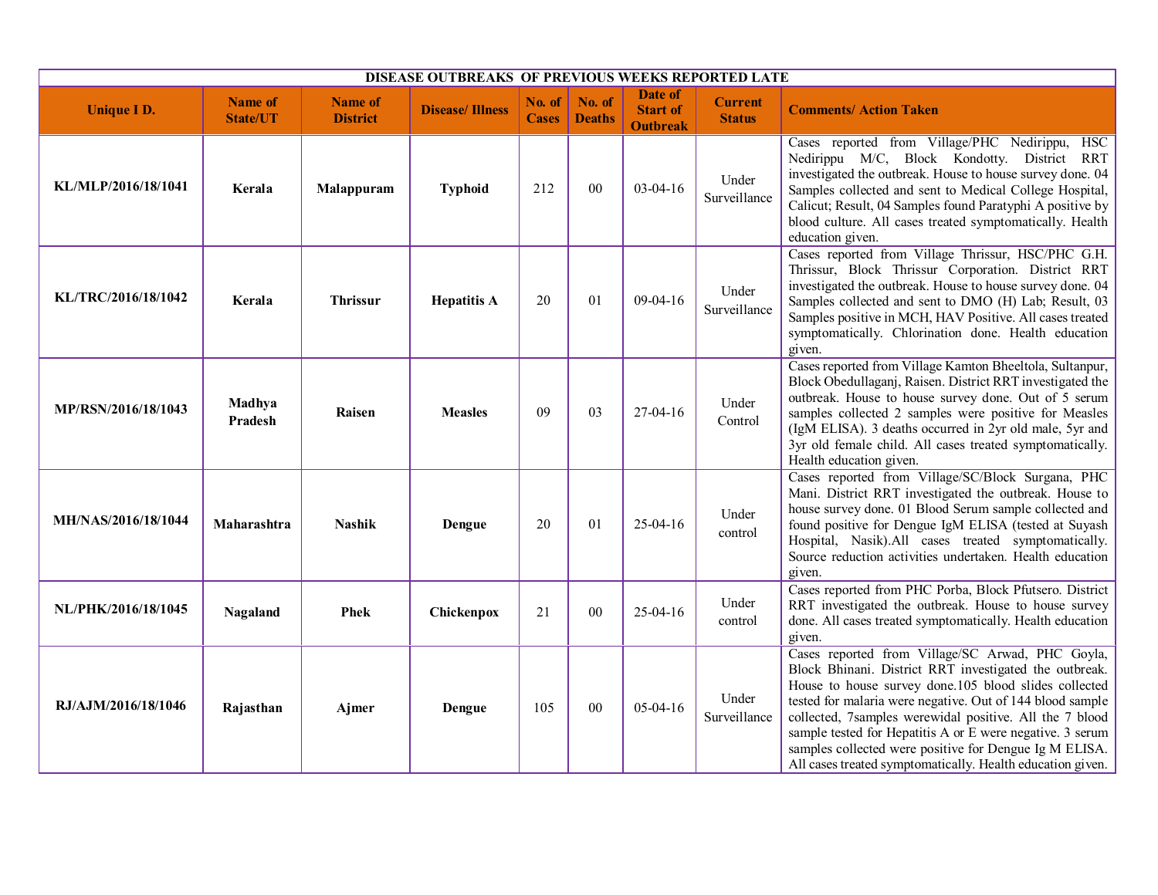| DISEASE OUTBREAKS OF PREVIOUS WEEKS REPORTED LATE |                                   |                                   |                        |                        |                         |                                               |                                 |                                                                                                                                                                                                                                                                                                                                                                                                                                                                                  |
|---------------------------------------------------|-----------------------------------|-----------------------------------|------------------------|------------------------|-------------------------|-----------------------------------------------|---------------------------------|----------------------------------------------------------------------------------------------------------------------------------------------------------------------------------------------------------------------------------------------------------------------------------------------------------------------------------------------------------------------------------------------------------------------------------------------------------------------------------|
| <b>Unique I D.</b>                                | <b>Name of</b><br><b>State/UT</b> | <b>Name of</b><br><b>District</b> | <b>Disease/Illness</b> | No. of<br><b>Cases</b> | No. of<br><b>Deaths</b> | Date of<br><b>Start of</b><br><b>Outbreak</b> | <b>Current</b><br><b>Status</b> | <b>Comments/ Action Taken</b>                                                                                                                                                                                                                                                                                                                                                                                                                                                    |
| KL/MLP/2016/18/1041                               | Kerala                            | Malappuram                        | <b>Typhoid</b>         | 212                    | 00                      | $03-04-16$                                    | Under<br>Surveillance           | Cases reported from Village/PHC Nedirippu, HSC<br>Nedirippu M/C, Block Kondotty. District RRT<br>investigated the outbreak. House to house survey done. 04<br>Samples collected and sent to Medical College Hospital,<br>Calicut; Result, 04 Samples found Paratyphi A positive by<br>blood culture. All cases treated symptomatically. Health<br>education given.                                                                                                               |
| KL/TRC/2016/18/1042                               | Kerala                            | <b>Thrissur</b>                   | <b>Hepatitis A</b>     | 20                     | 01                      | 09-04-16                                      | Under<br>Surveillance           | Cases reported from Village Thrissur, HSC/PHC G.H.<br>Thrissur, Block Thrissur Corporation. District RRT<br>investigated the outbreak. House to house survey done. 04<br>Samples collected and sent to DMO (H) Lab; Result, 03<br>Samples positive in MCH, HAV Positive. All cases treated<br>symptomatically. Chlorination done. Health education<br>given.                                                                                                                     |
| MP/RSN/2016/18/1043                               | Madhya<br>Pradesh                 | Raisen                            | <b>Measles</b>         | 09                     | 03                      | 27-04-16                                      | Under<br>Control                | Cases reported from Village Kamton Bheeltola, Sultanpur,<br>Block Obedullaganj, Raisen. District RRT investigated the<br>outbreak. House to house survey done. Out of 5 serum<br>samples collected 2 samples were positive for Measles<br>(IgM ELISA). 3 deaths occurred in 2yr old male, 5yr and<br>3yr old female child. All cases treated symptomatically.<br>Health education given.                                                                                         |
| MH/NAS/2016/18/1044                               | Maharashtra                       | <b>Nashik</b>                     | Dengue                 | 20                     | 01                      | $25-04-16$                                    | Under<br>control                | Cases reported from Village/SC/Block Surgana, PHC<br>Mani. District RRT investigated the outbreak. House to<br>house survey done. 01 Blood Serum sample collected and<br>found positive for Dengue IgM ELISA (tested at Suyash<br>Hospital, Nasik).All cases treated symptomatically.<br>Source reduction activities undertaken. Health education<br>given.                                                                                                                      |
| NL/PHK/2016/18/1045                               | Nagaland                          | <b>Phek</b>                       | Chickenpox             | 21                     | 00                      | $25-04-16$                                    | Under<br>control                | Cases reported from PHC Porba, Block Pfutsero. District<br>RRT investigated the outbreak. House to house survey<br>done. All cases treated symptomatically. Health education<br>given.                                                                                                                                                                                                                                                                                           |
| RJ/AJM/2016/18/1046                               | Rajasthan                         | Ajmer                             | Dengue                 | 105                    | 00                      | $05-04-16$                                    | Under<br>Surveillance           | Cases reported from Village/SC Arwad, PHC Goyla,<br>Block Bhinani. District RRT investigated the outbreak.<br>House to house survey done.105 blood slides collected<br>tested for malaria were negative. Out of 144 blood sample<br>collected, 7samples werewidal positive. All the 7 blood<br>sample tested for Hepatitis A or E were negative. 3 serum<br>samples collected were positive for Dengue Ig M ELISA.<br>All cases treated symptomatically. Health education given. |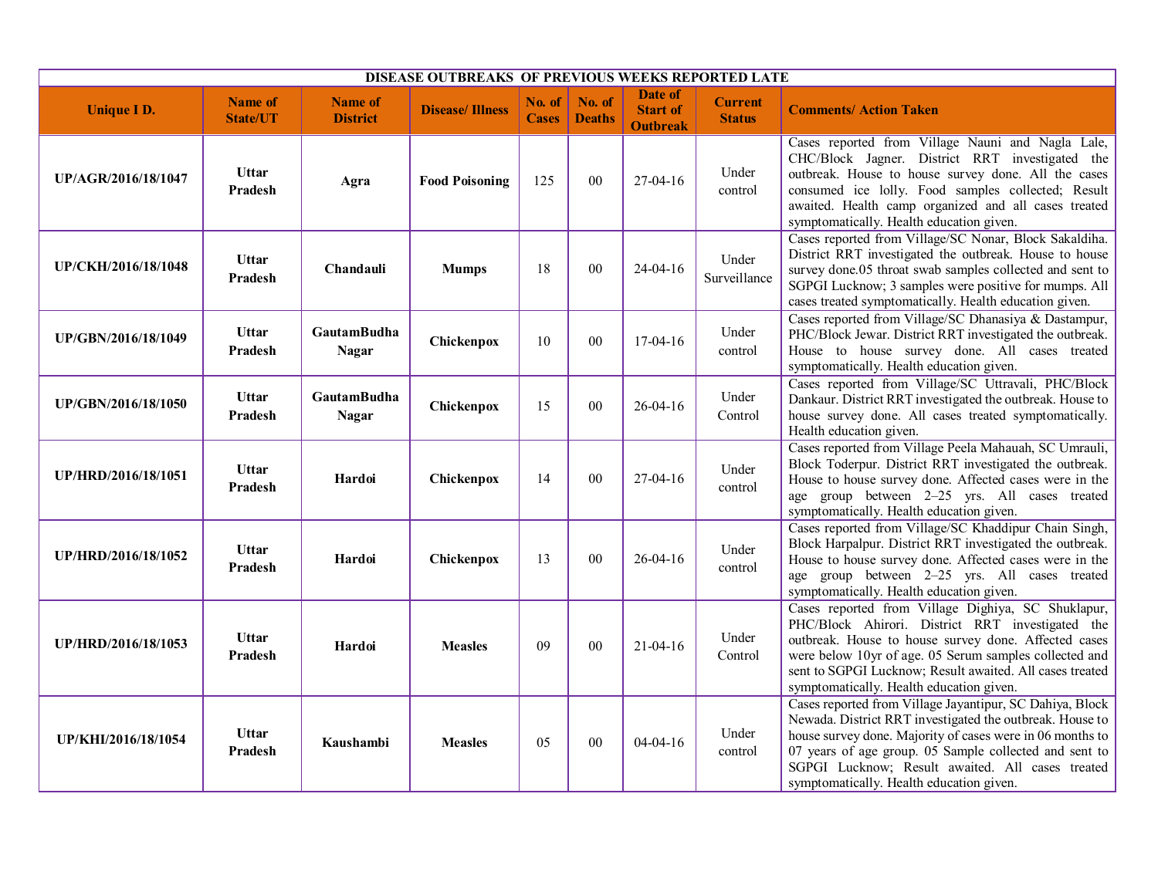| DISEASE OUTBREAKS OF PREVIOUS WEEKS REPORTED LATE |                                   |                                    |                        |                               |                         |                                               |                                 |                                                                                                                                                                                                                                                                                                                                             |
|---------------------------------------------------|-----------------------------------|------------------------------------|------------------------|-------------------------------|-------------------------|-----------------------------------------------|---------------------------------|---------------------------------------------------------------------------------------------------------------------------------------------------------------------------------------------------------------------------------------------------------------------------------------------------------------------------------------------|
| <b>Unique I D.</b>                                | <b>Name of</b><br><b>State/UT</b> | <b>Name of</b><br><b>District</b>  | <b>Disease/Illness</b> | <b>No. of</b><br><b>Cases</b> | No. of<br><b>Deaths</b> | Date of<br><b>Start of</b><br><b>Outbreak</b> | <b>Current</b><br><b>Status</b> | <b>Comments/ Action Taken</b>                                                                                                                                                                                                                                                                                                               |
| UP/AGR/2016/18/1047                               | <b>Uttar</b><br>Pradesh           | Agra                               | <b>Food Poisoning</b>  | 125                           | 00                      | $27-04-16$                                    | Under<br>control                | Cases reported from Village Nauni and Nagla Lale,<br>CHC/Block Jagner. District RRT investigated the<br>outbreak. House to house survey done. All the cases<br>consumed ice lolly. Food samples collected; Result<br>awaited. Health camp organized and all cases treated<br>symptomatically. Health education given.                       |
| UP/CKH/2016/18/1048                               | <b>Uttar</b><br>Pradesh           | Chandauli                          | <b>Mumps</b>           | 18                            | 00                      | $24 - 04 - 16$                                | Under<br>Surveillance           | Cases reported from Village/SC Nonar, Block Sakaldiha.<br>District RRT investigated the outbreak. House to house<br>survey done.05 throat swab samples collected and sent to<br>SGPGI Lucknow; 3 samples were positive for mumps. All<br>cases treated symptomatically. Health education given.                                             |
| UP/GBN/2016/18/1049                               | Uttar<br>Pradesh                  | <b>GautamBudha</b><br><b>Nagar</b> | Chickenpox             | 10                            | 00                      | 17-04-16                                      | Under<br>control                | Cases reported from Village/SC Dhanasiya & Dastampur,<br>PHC/Block Jewar. District RRT investigated the outbreak.<br>House to house survey done. All cases treated<br>symptomatically. Health education given.                                                                                                                              |
| UP/GBN/2016/18/1050                               | <b>Uttar</b><br>Pradesh           | GautamBudha<br><b>Nagar</b>        | Chickenpox             | 15                            | 00                      | $26 - 04 - 16$                                | Under<br>Control                | Cases reported from Village/SC Uttravali, PHC/Block<br>Dankaur. District RRT investigated the outbreak. House to<br>house survey done. All cases treated symptomatically.<br>Health education given.                                                                                                                                        |
| UP/HRD/2016/18/1051                               | <b>Uttar</b><br>Pradesh           | Hardoi                             | Chickenpox             | 14                            | 00                      | $27-04-16$                                    | Under<br>control                | Cases reported from Village Peela Mahauah, SC Umrauli,<br>Block Toderpur. District RRT investigated the outbreak.<br>House to house survey done. Affected cases were in the<br>age group between 2-25 yrs. All cases treated<br>symptomatically. Health education given.                                                                    |
| UP/HRD/2016/18/1052                               | <b>Uttar</b><br>Pradesh           | Hardoi                             | Chickenpox             | 13                            | 00                      | $26 - 04 - 16$                                | Under<br>control                | Cases reported from Village/SC Khaddipur Chain Singh,<br>Block Harpalpur. District RRT investigated the outbreak.<br>House to house survey done. Affected cases were in the<br>age group between 2-25 yrs. All cases treated<br>symptomatically. Health education given.                                                                    |
| UP/HRD/2016/18/1053                               | <b>Uttar</b><br>Pradesh           | Hardoi                             | <b>Measles</b>         | 09                            | 00                      | $21 - 04 - 16$                                | Under<br>Control                | Cases reported from Village Dighiya, SC Shuklapur,<br>PHC/Block Ahirori. District RRT investigated the<br>outbreak. House to house survey done. Affected cases<br>were below 10yr of age. 05 Serum samples collected and<br>sent to SGPGI Lucknow; Result awaited. All cases treated<br>symptomatically. Health education given.            |
| UP/KHI/2016/18/1054                               | Uttar<br>Pradesh                  | Kaushambi                          | <b>Measles</b>         | 05                            | $00\,$                  | $04 - 04 - 16$                                | Under<br>control                | Cases reported from Village Jayantipur, SC Dahiya, Block<br>Newada. District RRT investigated the outbreak. House to<br>house survey done. Majority of cases were in 06 months to<br>07 years of age group. 05 Sample collected and sent to<br>SGPGI Lucknow; Result awaited. All cases treated<br>symptomatically. Health education given. |